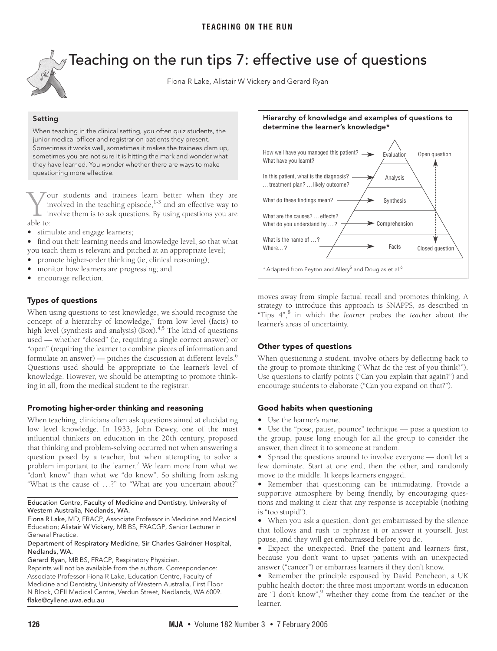<span id="page-0-0"></span>

 $\gamma$  Teaching on the run tips 7: effective use of questions

Fiona R Lake, Alistair W Vickery and Gerard Ryan

### **Setting**

When teaching in the clinical setting, you often quiz students, the junior medical officer and registrar on patients they present. Sometimes it works well, sometimes it makes the trainees clam up, sometimes you are not sure it is hitting the mark and wonder what they have learned. You wonder whether there are ways to make questioning more effective.

our students and trainees learn better when they are involved in the teaching episode, $1-3$  $1-3$  and an effective way to involve them is to ask questions. By using questions you are  $\sum_{\text{in}}^{\infty}$ 

**•** stimulate and engage learners;

**•** find out their learning needs and knowledge level, so that what you teach them is relevant and pitched at an appropriate level;

- promote higher-order thinking (ie, clinical reasoning);
- monitor how learners are pro[gress](#page-0-0)[ing;](#page-1-8) and
- encourage reflection.

# Types of questions

When using questions to test knowledge, we should recognise the concept of a hierarchy of knowledge, $4$  from low level (facts) to high level (synthesis and analysis)  $(Box)^{4,5}$  $(Box)^{4,5}$  $(Box)^{4,5}$  The kind of questions used — whether "closed" (ie, requiring a single correct answer) or "open" (requiring the learner to combine pieces of information and formulate an answer) — pitches the discussion at different levels. $<sup>6</sup>$  $<sup>6</sup>$  $<sup>6</sup>$ </sup> Questions used should be appropriate to the learner's level of knowledge. However, we should be attempting to promote thinking in all, from the medical student to the registrar.

# **Promoting higher-order thinking and reasoning**

When teaching, clinicians often ask questions aimed at elucidating low level knowledge. In 1933, John Dewey, one of the most influential thinkers on education in the 20th century, proposed that thinking and problem-solving occurred not when answering a question posed by a teacher, but when attempting to solve a problem important to the learner.<sup>[7](#page-1-5)</sup> We learn more from what we "don't know" than what we "do know". So shifting from asking "What is the cause of . . .?" to "What are you uncertain about?"

### Education Centre, Faculty of Medicine and Dentistry, University of Western Australia, Nedlands, WA.

Fiona R Lake, MD, FRACP, Associate Professor in Medicine and Medical Education; Alistair W Vickery, MB BS, FRACGP, Senior Lecturer in General Practice.

### Department of Respiratory Medicine, Sir Charles Gairdner Hospital, Nedlands, WA.

Gerard Ryan, MB BS, FRACP, Respiratory Physician.

Reprints will not be available from the authors. Correspondence: Associate Professor Fiona R Lake, Education Centre, Faculty of Medicine and Dentistry, University of Western Australia, First Floor N Block, QEII Medical Centre, Verdun Street, Nedlands, WA 6009. flake@cyllene.uwa.edu.au



moves away from simple factual recall and promotes thinking. A strategy to introduce this approach is SNAPPS, as described in "Tips 4",[8](#page-1-6) in which the *learner* probes the *teacher* about the learner's areas of uncertainty.

# **Other types of questions**

When questioning a student, involve others by deflecting back to the group to promote thinking ("What do the rest of you think?"). Use questions to clarify points ("Can you explain that again?") and encourage students to elaborate ("Can you expand on that?").

### **Good habits when questioning**

**•** Use the learner's name.

**•** Use the "pose, pause, pounce" technique — pose a question to the group, pause long enough for all the group to consider the answer, then direct it to someone at random.

**•** Spread the questions around to involve everyone — don't let a few dominate. Start at one end, then the other, and randomly move to the middle. It keeps learners engaged.

**•** Remember that questioning can be intimidating. Provide a supportive atmosphere by being friendly, by encouraging questions and making it clear that any response is acceptable (nothing is "too stupid").

**•** When you ask a question, don't get embarrassed by the silence that follows and rush to rephrase it or answer it yourself. Just pause, and they will get embarrassed before you do.

**•** Expect the unexpected. Brief the patient and learners first, because you don't want to upset patients with an unexpected answer ("cancer") or embarrass learners if they don't know.

**•** Remember the principle espoused by David Pencheon, a UK public health doctor: the three most important words in education are "I don't know",<sup>[9](#page-1-7)</sup> whether they come from the teacher or the learner.